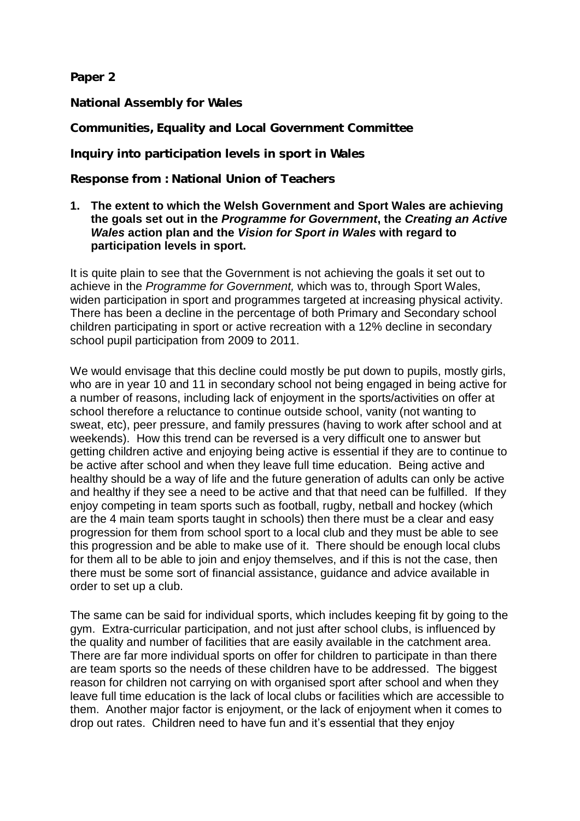**Paper 2**

**National Assembly for Wales**

**Communities, Equality and Local Government Committee**

**Inquiry into participation levels in sport in Wales** 

**Response from : National Union of Teachers**

#### **1. The extent to which the Welsh Government and Sport Wales are achieving the goals set out in the** *Programme for Government***, the** *Creating an Active Wales* **action plan and the** *Vision for Sport in Wales* **with regard to participation levels in sport.**

It is quite plain to see that the Government is not achieving the goals it set out to achieve in the *Programme for Government,* which was to, through Sport Wales, widen participation in sport and programmes targeted at increasing physical activity. There has been a decline in the percentage of both Primary and Secondary school children participating in sport or active recreation with a 12% decline in secondary school pupil participation from 2009 to 2011.

We would envisage that this decline could mostly be put down to pupils, mostly girls, who are in year 10 and 11 in secondary school not being engaged in being active for a number of reasons, including lack of enjoyment in the sports/activities on offer at school therefore a reluctance to continue outside school, vanity (not wanting to sweat, etc), peer pressure, and family pressures (having to work after school and at weekends). How this trend can be reversed is a very difficult one to answer but getting children active and enjoying being active is essential if they are to continue to be active after school and when they leave full time education. Being active and healthy should be a way of life and the future generation of adults can only be active and healthy if they see a need to be active and that that need can be fulfilled. If they enjoy competing in team sports such as football, rugby, netball and hockey (which are the 4 main team sports taught in schools) then there must be a clear and easy progression for them from school sport to a local club and they must be able to see this progression and be able to make use of it. There should be enough local clubs for them all to be able to join and enjoy themselves, and if this is not the case, then there must be some sort of financial assistance, guidance and advice available in order to set up a club.

The same can be said for individual sports, which includes keeping fit by going to the gym. Extra-curricular participation, and not just after school clubs, is influenced by the quality and number of facilities that are easily available in the catchment area. There are far more individual sports on offer for children to participate in than there are team sports so the needs of these children have to be addressed. The biggest reason for children not carrying on with organised sport after school and when they leave full time education is the lack of local clubs or facilities which are accessible to them. Another major factor is enjoyment, or the lack of enjoyment when it comes to drop out rates. Children need to have fun and it's essential that they enjoy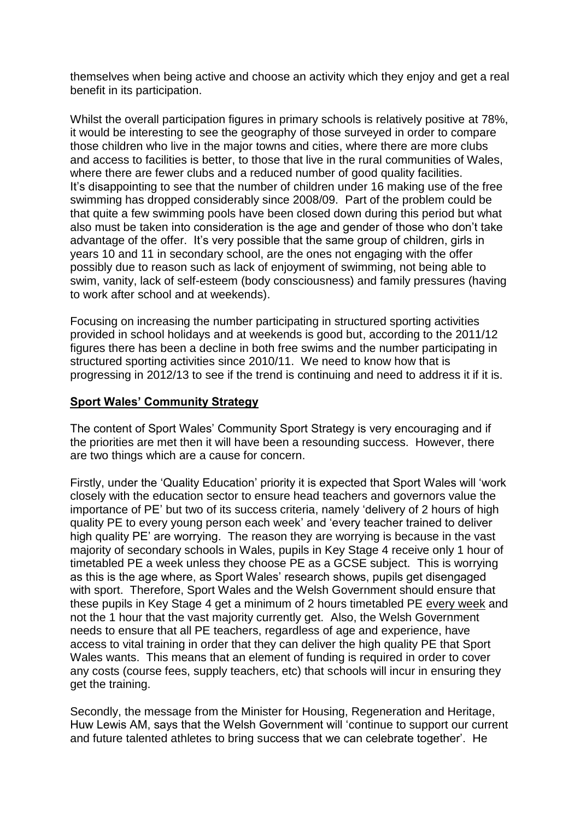themselves when being active and choose an activity which they enjoy and get a real benefit in its participation.

Whilst the overall participation figures in primary schools is relatively positive at 78%, it would be interesting to see the geography of those surveyed in order to compare those children who live in the major towns and cities, where there are more clubs and access to facilities is better, to those that live in the rural communities of Wales, where there are fewer clubs and a reduced number of good quality facilities. It's disappointing to see that the number of children under 16 making use of the free swimming has dropped considerably since 2008/09. Part of the problem could be that quite a few swimming pools have been closed down during this period but what also must be taken into consideration is the age and gender of those who don't take advantage of the offer. It's very possible that the same group of children, girls in years 10 and 11 in secondary school, are the ones not engaging with the offer possibly due to reason such as lack of enjoyment of swimming, not being able to swim, vanity, lack of self-esteem (body consciousness) and family pressures (having to work after school and at weekends).

Focusing on increasing the number participating in structured sporting activities provided in school holidays and at weekends is good but, according to the 2011/12 figures there has been a decline in both free swims and the number participating in structured sporting activities since 2010/11. We need to know how that is progressing in 2012/13 to see if the trend is continuing and need to address it if it is.

### **Sport Wales' Community Strategy**

The content of Sport Wales' Community Sport Strategy is very encouraging and if the priorities are met then it will have been a resounding success. However, there are two things which are a cause for concern.

Firstly, under the 'Quality Education' priority it is expected that Sport Wales will 'work closely with the education sector to ensure head teachers and governors value the importance of PE' but two of its success criteria, namely 'delivery of 2 hours of high quality PE to every young person each week' and 'every teacher trained to deliver high quality PE' are worrying. The reason they are worrying is because in the vast majority of secondary schools in Wales, pupils in Key Stage 4 receive only 1 hour of timetabled PE a week unless they choose PE as a GCSE subject. This is worrying as this is the age where, as Sport Wales' research shows, pupils get disengaged with sport. Therefore, Sport Wales and the Welsh Government should ensure that these pupils in Key Stage 4 get a minimum of 2 hours timetabled PE every week and not the 1 hour that the vast majority currently get. Also, the Welsh Government needs to ensure that all PE teachers, regardless of age and experience, have access to vital training in order that they can deliver the high quality PE that Sport Wales wants. This means that an element of funding is required in order to cover any costs (course fees, supply teachers, etc) that schools will incur in ensuring they get the training.

Secondly, the message from the Minister for Housing, Regeneration and Heritage, Huw Lewis AM, says that the Welsh Government will 'continue to support our current and future talented athletes to bring success that we can celebrate together'. He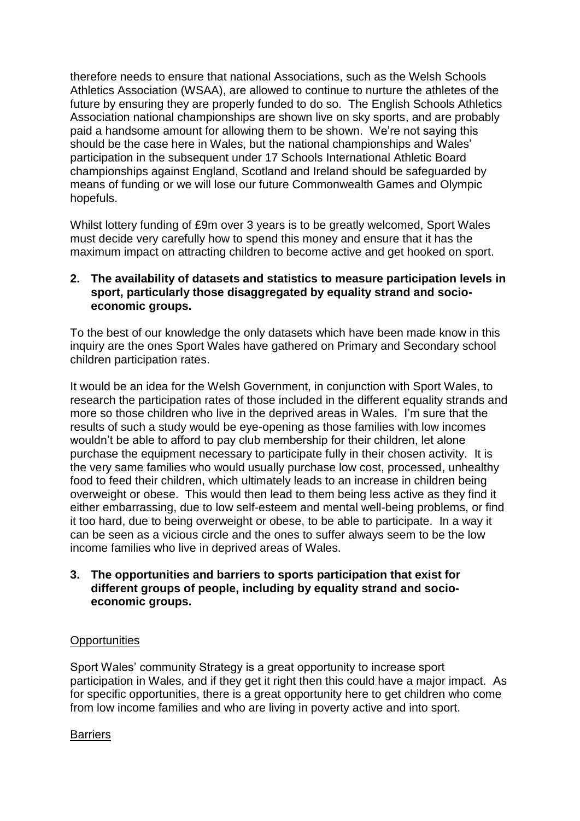therefore needs to ensure that national Associations, such as the Welsh Schools Athletics Association (WSAA), are allowed to continue to nurture the athletes of the future by ensuring they are properly funded to do so. The English Schools Athletics Association national championships are shown live on sky sports, and are probably paid a handsome amount for allowing them to be shown. We're not saying this should be the case here in Wales, but the national championships and Wales' participation in the subsequent under 17 Schools International Athletic Board championships against England, Scotland and Ireland should be safeguarded by means of funding or we will lose our future Commonwealth Games and Olympic hopefuls.

Whilst lottery funding of £9m over 3 years is to be greatly welcomed, Sport Wales must decide very carefully how to spend this money and ensure that it has the maximum impact on attracting children to become active and get hooked on sport.

## **2. The availability of datasets and statistics to measure participation levels in sport, particularly those disaggregated by equality strand and socioeconomic groups.**

To the best of our knowledge the only datasets which have been made know in this inquiry are the ones Sport Wales have gathered on Primary and Secondary school children participation rates.

It would be an idea for the Welsh Government, in conjunction with Sport Wales, to research the participation rates of those included in the different equality strands and more so those children who live in the deprived areas in Wales. I'm sure that the results of such a study would be eye-opening as those families with low incomes wouldn't be able to afford to pay club membership for their children, let alone purchase the equipment necessary to participate fully in their chosen activity. It is the very same families who would usually purchase low cost, processed, unhealthy food to feed their children, which ultimately leads to an increase in children being overweight or obese. This would then lead to them being less active as they find it either embarrassing, due to low self-esteem and mental well-being problems, or find it too hard, due to being overweight or obese, to be able to participate. In a way it can be seen as a vicious circle and the ones to suffer always seem to be the low income families who live in deprived areas of Wales.

# **3. The opportunities and barriers to sports participation that exist for different groups of people, including by equality strand and socioeconomic groups.**

### **Opportunities**

Sport Wales' community Strategy is a great opportunity to increase sport participation in Wales, and if they get it right then this could have a major impact. As for specific opportunities, there is a great opportunity here to get children who come from low income families and who are living in poverty active and into sport.

### **Barriers**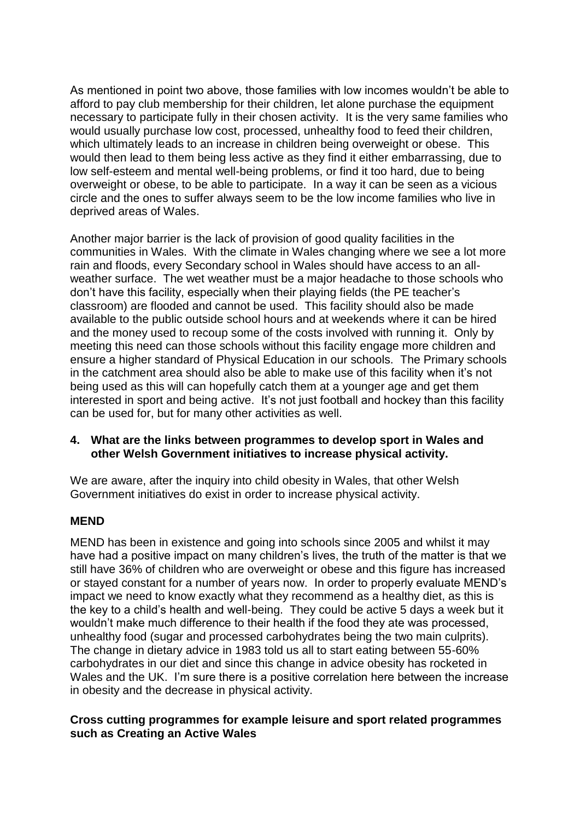As mentioned in point two above, those families with low incomes wouldn't be able to afford to pay club membership for their children, let alone purchase the equipment necessary to participate fully in their chosen activity. It is the very same families who would usually purchase low cost, processed, unhealthy food to feed their children, which ultimately leads to an increase in children being overweight or obese. This would then lead to them being less active as they find it either embarrassing, due to low self-esteem and mental well-being problems, or find it too hard, due to being overweight or obese, to be able to participate. In a way it can be seen as a vicious circle and the ones to suffer always seem to be the low income families who live in deprived areas of Wales.

Another major barrier is the lack of provision of good quality facilities in the communities in Wales. With the climate in Wales changing where we see a lot more rain and floods, every Secondary school in Wales should have access to an allweather surface. The wet weather must be a major headache to those schools who don't have this facility, especially when their playing fields (the PE teacher's classroom) are flooded and cannot be used. This facility should also be made available to the public outside school hours and at weekends where it can be hired and the money used to recoup some of the costs involved with running it. Only by meeting this need can those schools without this facility engage more children and ensure a higher standard of Physical Education in our schools. The Primary schools in the catchment area should also be able to make use of this facility when it's not being used as this will can hopefully catch them at a younger age and get them interested in sport and being active. It's not just football and hockey than this facility can be used for, but for many other activities as well.

### **4. What are the links between programmes to develop sport in Wales and other Welsh Government initiatives to increase physical activity.**

We are aware, after the inquiry into child obesity in Wales, that other Welsh Government initiatives do exist in order to increase physical activity.

### **MEND**

MEND has been in existence and going into schools since 2005 and whilst it may have had a positive impact on many children's lives, the truth of the matter is that we still have 36% of children who are overweight or obese and this figure has increased or stayed constant for a number of years now. In order to properly evaluate MEND's impact we need to know exactly what they recommend as a healthy diet, as this is the key to a child's health and well-being. They could be active 5 days a week but it wouldn't make much difference to their health if the food they ate was processed, unhealthy food (sugar and processed carbohydrates being the two main culprits). The change in dietary advice in 1983 told us all to start eating between 55-60% carbohydrates in our diet and since this change in advice obesity has rocketed in Wales and the UK. I'm sure there is a positive correlation here between the increase in obesity and the decrease in physical activity.

### **Cross cutting programmes for example leisure and sport related programmes such as Creating an Active Wales**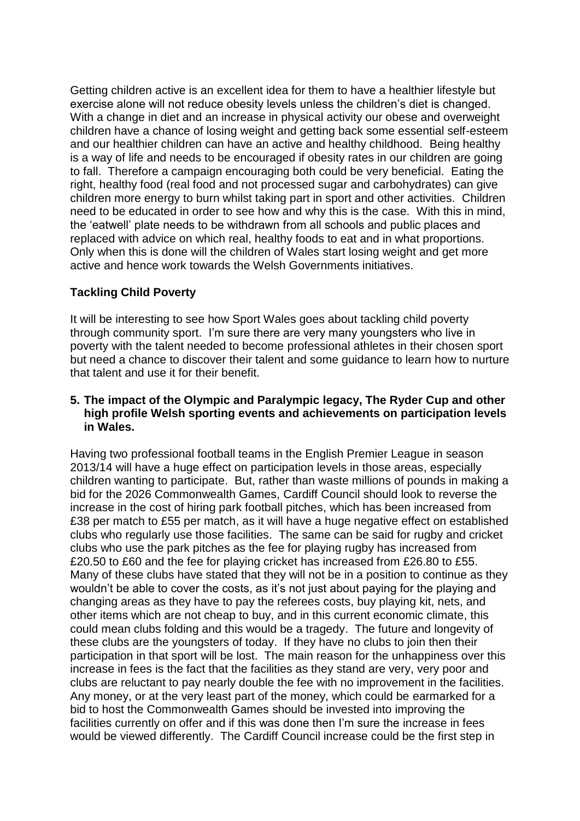Getting children active is an excellent idea for them to have a healthier lifestyle but exercise alone will not reduce obesity levels unless the children's diet is changed. With a change in diet and an increase in physical activity our obese and overweight children have a chance of losing weight and getting back some essential self-esteem and our healthier children can have an active and healthy childhood. Being healthy is a way of life and needs to be encouraged if obesity rates in our children are going to fall. Therefore a campaign encouraging both could be very beneficial. Eating the right, healthy food (real food and not processed sugar and carbohydrates) can give children more energy to burn whilst taking part in sport and other activities. Children need to be educated in order to see how and why this is the case. With this in mind, the 'eatwell' plate needs to be withdrawn from all schools and public places and replaced with advice on which real, healthy foods to eat and in what proportions. Only when this is done will the children of Wales start losing weight and get more active and hence work towards the Welsh Governments initiatives.

# **Tackling Child Poverty**

It will be interesting to see how Sport Wales goes about tackling child poverty through community sport. I'm sure there are very many youngsters who live in poverty with the talent needed to become professional athletes in their chosen sport but need a chance to discover their talent and some guidance to learn how to nurture that talent and use it for their benefit.

#### **5. The impact of the Olympic and Paralympic legacy, The Ryder Cup and other high profile Welsh sporting events and achievements on participation levels in Wales.**

Having two professional football teams in the English Premier League in season 2013/14 will have a huge effect on participation levels in those areas, especially children wanting to participate. But, rather than waste millions of pounds in making a bid for the 2026 Commonwealth Games, Cardiff Council should look to reverse the increase in the cost of hiring park football pitches, which has been increased from £38 per match to £55 per match, as it will have a huge negative effect on established clubs who regularly use those facilities. The same can be said for rugby and cricket clubs who use the park pitches as the fee for playing rugby has increased from £20.50 to £60 and the fee for playing cricket has increased from £26.80 to £55. Many of these clubs have stated that they will not be in a position to continue as they wouldn't be able to cover the costs, as it's not just about paying for the playing and changing areas as they have to pay the referees costs, buy playing kit, nets, and other items which are not cheap to buy, and in this current economic climate, this could mean clubs folding and this would be a tragedy. The future and longevity of these clubs are the youngsters of today. If they have no clubs to join then their participation in that sport will be lost. The main reason for the unhappiness over this increase in fees is the fact that the facilities as they stand are very, very poor and clubs are reluctant to pay nearly double the fee with no improvement in the facilities. Any money, or at the very least part of the money, which could be earmarked for a bid to host the Commonwealth Games should be invested into improving the facilities currently on offer and if this was done then I'm sure the increase in fees would be viewed differently. The Cardiff Council increase could be the first step in